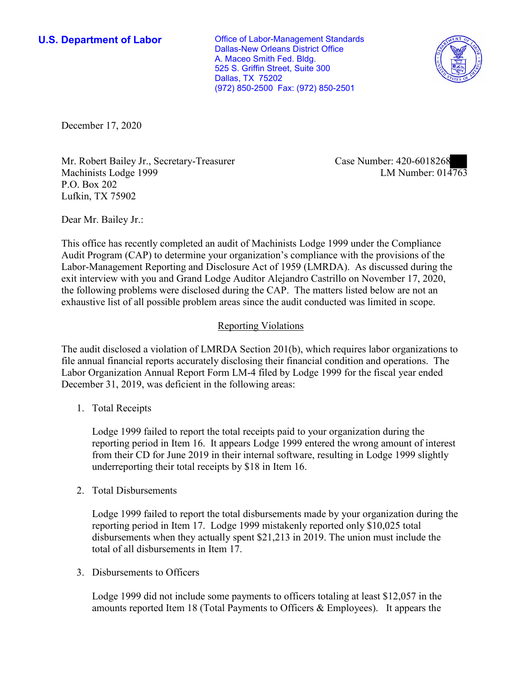**U.S. Department of Labor Conservative Conservative Conservative Conservative Conservative Conservative Conservative Conservative Conservative Conservative Conservative Conservative Conservative Conservative Conservative** Dallas-New Orleans District Office A. Maceo Smith Fed. Bldg. 525 S. Griffin Street, Suite 300 Dallas, TX 75202 (972) 850-2500 Fax: (972) 850-2501



December 17, 2020

Mr. Robert Bailey Jr., Secretary-Treasurer Machinists Lodge 1999 P.O. Box 202 Lufkin, TX 75902

Case Number: 420-6018268<br>LM Number: 014763

Dear Mr. Bailey Jr.:

 This office has recently completed an audit of Machinists Lodge 1999 under the Compliance Audit Program (CAP) to determine your organization's compliance with the provisions of the Labor-Management Reporting and Disclosure Act of 1959 (LMRDA). As discussed during the exit interview with you and Grand Lodge Auditor Alejandro Castrillo on November 17, 2020, the following problems were disclosed during the CAP. The matters listed below are not an exhaustive list of all possible problem areas since the audit conducted was limited in scope.

## Reporting Violations

The audit disclosed a violation of LMRDA Section 201(b), which requires labor organizations to file annual financial reports accurately disclosing their financial condition and operations. The Labor Organization Annual Report Form LM-4 filed by Lodge 1999 for the fiscal year ended December 31, 2019, was deficient in the following areas:

1. Total Receipts

Lodge 1999 failed to report the total receipts paid to your organization during the reporting period in Item 16. It appears Lodge 1999 entered the wrong amount of interest from their CD for June 2019 in their internal software, resulting in Lodge 1999 slightly underreporting their total receipts by \$18 in Item 16.

2. Total Disbursements

Lodge 1999 failed to report the total disbursements made by your organization during the reporting period in Item 17. Lodge 1999 mistakenly reported only \$10,025 total disbursements when they actually spent \$21,213 in 2019. The union must include the total of all disbursements in Item 17.

3. Disbursements to Officers

 amounts reported Item 18 (Total Payments to Officers & Employees). It appears the Lodge 1999 did not include some payments to officers totaling at least \$12,057 in the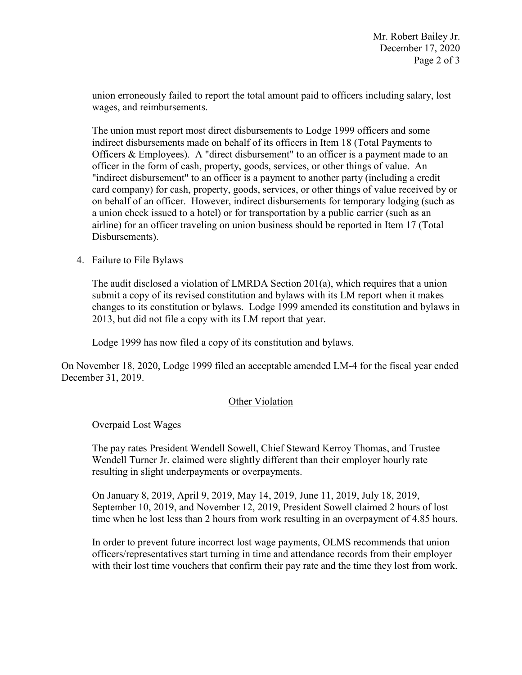union erroneously failed to report the total amount paid to officers including salary, lost wages, and reimbursements.

 Officers & Employees). A "direct disbursement" to an officer is a payment made to an officer in the form of cash, property, goods, services, or other things of value. An "indirect disbursement" to an officer is a payment to another party (including a credit a union check issued to a hotel) or for transportation by a public carrier (such as an The union must report most direct disbursements to Lodge 1999 officers and some indirect disbursements made on behalf of its officers in Item 18 (Total Payments to card company) for cash, property, goods, services, or other things of value received by or on behalf of an officer. However, indirect disbursements for temporary lodging (such as airline) for an officer traveling on union business should be reported in Item 17 (Total Disbursements).

4. Failure to File Bylaws

 2013, but did not file a copy with its LM report that year. The audit disclosed a violation of LMRDA Section 201(a), which requires that a union submit a copy of its revised constitution and bylaws with its LM report when it makes changes to its constitution or bylaws. Lodge 1999 amended its constitution and bylaws in

Lodge 1999 has now filed a copy of its constitution and bylaws.

 On November 18, 2020, Lodge 1999 filed an acceptable amended LM-4 for the fiscal year ended December 31, 2019.

## Other Violation

Overpaid Lost Wages

The pay rates President Wendell Sowell, Chief Steward Kerroy Thomas, and Trustee Wendell Turner Jr. claimed were slightly different than their employer hourly rate resulting in slight underpayments or overpayments.

On January 8, 2019, April 9, 2019, May 14, 2019, June 11, 2019, July 18, 2019, September 10, 2019, and November 12, 2019, President Sowell claimed 2 hours of lost time when he lost less than 2 hours from work resulting in an overpayment of 4.85 hours.

In order to prevent future incorrect lost wage payments, OLMS recommends that union officers/representatives start turning in time and attendance records from their employer with their lost time vouchers that confirm their pay rate and the time they lost from work.